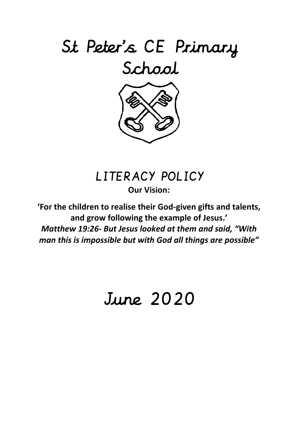

# LITERACY POLICY

**Our Vision:**

**'For the children to realise their God-given gifts and talents, and grow following the example of Jesus.'** *Matthew 19:26- But Jesus looked at them and said, "With man this is impossible but with God all things are possible"*

# June 2020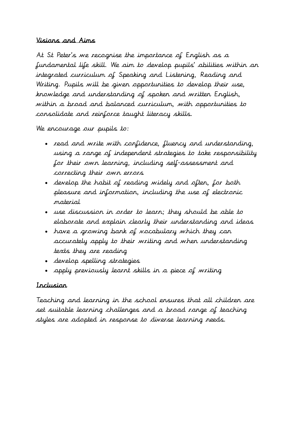#### Visions and Aims

At St Peter's we recognise the importance of English as a fundamental life skill. We aim to develop pupils' abilities within an integrated curriculum of Speaking and Listening, Reading and Writing. Pupils will be given opportunities to develop their use, knowledge and understanding of spoken and written English, within a broad and balanced curriculum, with opportunities to consolidate and reinforce taught literacy skills.

We encourage our pupils to:

- read and write with confidence, fluency and understanding, using a range of independent strategies to take responsibility for their own learning, including self-assessment and correcting their own errors
- develop the habit of reading widely and often, for both pleasure and information, including the use of electronic material
- use discussion in order to learn; they should be able to elaborate and explain clearly their understanding and ideas
- have a growing bank of vocabulary which they can accurately apply to their writing and when understanding texts they are reading
- develop spelling strategies
- apply previously learnt skills in a piece of writing

# Inclusion

Teaching and learning in the school ensures that all children are set suitable learning challenges and a broad range of teaching styles are adopted in response to diverse learning needs.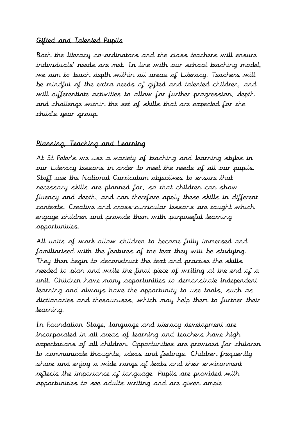#### Gifted and Talented Pupils

Both the literacy co-ordinators and the class teachers will ensure individuals' needs are met. In line with our school teaching model, we aim to teach depth within all areas of Literacy. Teachers will be mindful of the extra needs of gifted and talented children, and will differentiate activities to allow for further progression, depth and challenge within the set of skills that are expected for the child's year group.

# Planning, Teaching and Learning

At St Peter's we use a variety of teaching and learning styles in our Literacy lessons in order to meet the needs of all our pupils. Staff use the National Curriculum objectives to ensure that necessary skills are planned for, so that children can show fluency and depth, and can therefore apply these skills in different contexts. Creative and cross-curricular lessons are taught which engage children and provide them with purposeful learning opportunities.

All units of work allow children to become fully immersed and familiarised with the features of the text they will be studying. They then begin to deconstruct the text and practise the skills needed to plan and write the final piece of writing at the end of a unit. Children have many opportunities to demonstrate independent learning and always have the opportunity to use tools, such as dictionaries and thesauruses, which may help them to further their learning.

In Foundation Stage, language and literacy development are incorporated in all areas of learning and teachers have high expectations of all children. Opportunities are provided for children to communicate thoughts, ideas and feelings. Children frequently share and enjoy a wide range of texts and their environment reflects the importance of language. Pupils are provided with opportunities to see adults writing and are given ample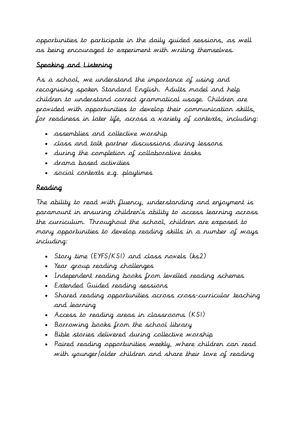opportunities to participate in the daily guided sessions, as well as being encouraged to experiment with writing themselves.

# Speaking and Listening

As a school, we understand the importance of using and recognising spoken Standard English. Adults model and help children to understand correct grammatical usage. Children are provided with opportunities to develop their communication skills, for readiness in later life, across a variety of contexts, including:

- assemblies and collective worship
- class and talk partner discussions during lessons
- during the completion of collaborative tasks
- drama based activities
- social contexts e.g. playtimes

# Reading

The ability to read with fluency, understanding and enjoyment is paramount in ensuring children's ability to access learning across the curriculum. Throughout the school, children are exposed to many opportunities to develop reading skills in a number of ways including:

- Story time (EYFS/KS1) and class novels (ks2)
- Year group reading challenges
- Independent reading books from levelled reading schemes
- Extended Guided reading sessions
- Shared reading opportunities across cross-curricular teaching and learning
- Access to reading areas in classrooms (KS1)
- Borrowing books from the school library
- Bible stories delivered during collective worship
- Paired reading opportunities weekly, where children can read with younger/older children and share their love of reading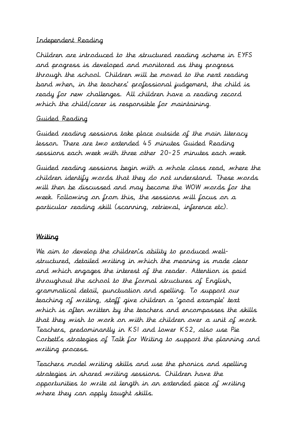#### Independent Reading

Children are introduced to the structured reading scheme in EYFS and progress is developed and monitored as they progress through the school. Children will be moved to the next reading band when, in the teachers' professional judgement, the child is ready for new challenges. All children have a reading record which the child/carer is responsible for maintaining.

#### Guided Reading

Guided reading sessions take place outside of the main literacy lesson. There are two extended 45 minutes Guided Reading sessions each week with three other 20-25 minutes each week.

Guided reading sessions begin with a whole class read, where the children identify words that they do not understand. These words will then be discussed and may become the WOW words for the week. Following on from this, the sessions will focus on a particular reading skill (scanning, retrieval, inference etc).

#### Writing

We aim to develop the children's ability to produced wellstructured, detailed writing in which the meaning is made clear and which engages the interest of the reader. Attention is paid throughout the school to the formal structures of English, grammatical detail, punctuation and spelling. To support our teaching of writing, staff give children a 'good example' text which is often written by the teachers and encompasses the skills that they wish to work on with the children over a unit of work. Teachers, predominantly in KS1 and lower KS2, also use Pie Corbett's strategies of Talk for Writing to support the planning and writing process.

Teachers model writing skills and use the phonics and spelling strategies in shared writing sessions. Children have the opportunities to write at length in an extended piece of writing where they can apply taught skills.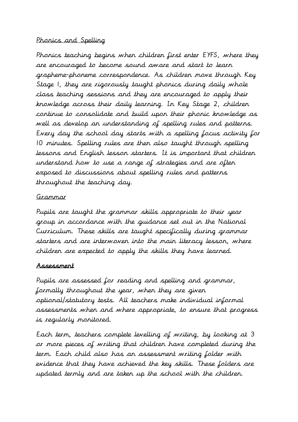#### Phonics and Spelling

Phonics teaching begins when children first enter EYFS, where they are encouraged to become sound aware and start to learn grapheme-phoneme correspondence. As children move through Key Stage 1, they are rigorously taught phonics during daily whole class teaching sessions and they are encouraged to apply their knowledge across their daily learning. In Key Stage 2, children continue to consolidate and build upon their phonic knowledge as well as develop an understanding of spelling rules and patterns. Every day the school day starts with a spelling focus activity for 10 minutes. Spelling rules are then also taught through spelling lessons and English lesson starters. It is important that children understand how to use a range of strategies and are often exposed to discussions about spelling rules and patterns throughout the teaching day.

#### Grammar

Pupils are taught the grammar skills appropriate to their year group in accordance with the guidance set out in the National Curriculum. These skills are taught specifically during grammar starters and are interwoven into the main literacy lesson, where children are expected to apply the skills they have learned.

## Assessment

Pupils are assessed for reading and spelling and grammar, formally throughout the year, when they are given optional/statutory tests. All teachers make individual informal assessments when and where appropriate, to ensure that progress is regularly monitored.

Each term, teachers complete levelling of writing, by looking at 3 or more pieces of writing that children have completed during the term. Each child also has an assessment writing folder with evidence that they have achieved the key skills. These folders are updated termly and are taken up the school with the children.